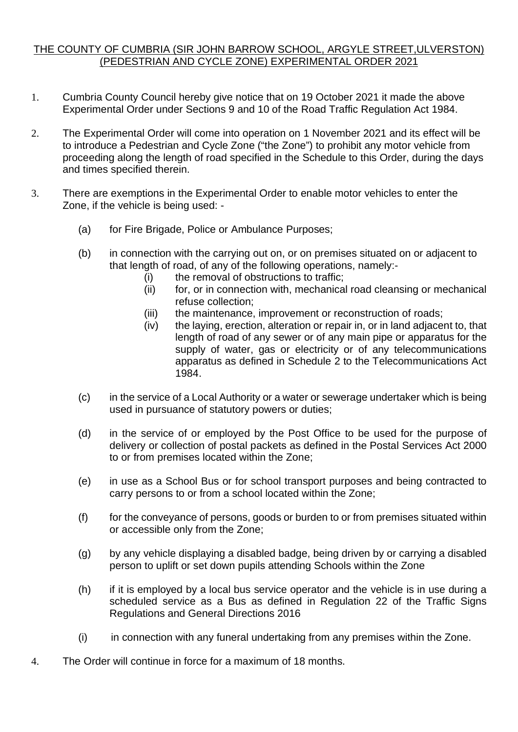## THE COUNTY OF CUMBRIA (SIR JOHN BARROW SCHOOL, ARGYLE STREET,ULVERSTON) (PEDESTRIAN AND CYCLE ZONE) EXPERIMENTAL ORDER 2021

- 1. Cumbria County Council hereby give notice that on 19 October 2021 it made the above Experimental Order under Sections 9 and 10 of the Road Traffic Regulation Act 1984.
- 2. The Experimental Order will come into operation on 1 November 2021 and its effect will be to introduce a Pedestrian and Cycle Zone ("the Zone") to prohibit any motor vehicle from proceeding along the length of road specified in the Schedule to this Order, during the days and times specified therein.
- 3. There are exemptions in the Experimental Order to enable motor vehicles to enter the Zone, if the vehicle is being used: -
	- (a) for Fire Brigade, Police or Ambulance Purposes;
	- (b) in connection with the carrying out on, or on premises situated on or adjacent to that length of road, of any of the following operations, namely:-
		- (i) the removal of obstructions to traffic;
		- (ii) for, or in connection with, mechanical road cleansing or mechanical refuse collection;
		- (iii) the maintenance, improvement or reconstruction of roads;
		- (iv) the laying, erection, alteration or repair in, or in land adjacent to, that length of road of any sewer or of any main pipe or apparatus for the supply of water, gas or electricity or of any telecommunications apparatus as defined in Schedule 2 to the Telecommunications Act 1984.
	- (c) in the service of a Local Authority or a water or sewerage undertaker which is being used in pursuance of statutory powers or duties;
	- (d) in the service of or employed by the Post Office to be used for the purpose of delivery or collection of postal packets as defined in the Postal Services Act 2000 to or from premises located within the Zone;
	- (e) in use as a School Bus or for school transport purposes and being contracted to carry persons to or from a school located within the Zone;
	- (f) for the conveyance of persons, goods or burden to or from premises situated within or accessible only from the Zone;
	- (g) by any vehicle displaying a disabled badge, being driven by or carrying a disabled person to uplift or set down pupils attending Schools within the Zone
	- (h) if it is employed by a local bus service operator and the vehicle is in use during a scheduled service as a Bus as defined in Regulation 22 of the Traffic Signs Regulations and General Directions 2016
	- $(i)$  in connection with any funeral undertaking from any premises within the Zone.
- 4. The Order will continue in force for a maximum of 18 months.